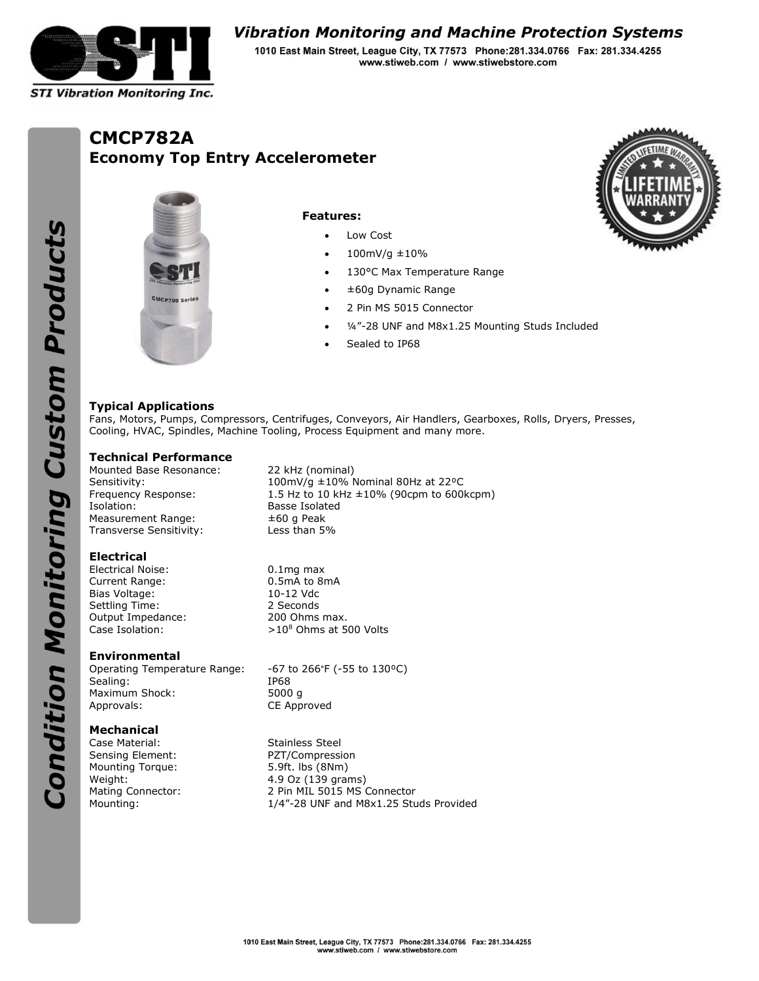

# **Vibration Monitoring and Machine Protection Systems**

1010 East Main Street, League City, TX 77573 Phone:281.334.0766 Fax: 281.334.4255 www.stiweb.com / www.stiwebstore.com

# **CMCP782A Economy Top Entry Accelerometer**





#### **Features:**

- Low Cost
- 100mV/g ±10%
- 130°C Max Temperature Range
- ±60g Dynamic Range
- 2 Pin MS 5015 Connector
- 1/4"-28 UNF and M8x1.25 Mounting Studs Included
- Sealed to IP68

## **Typical Applications**

Fans, Motors, Pumps, Compressors, Centrifuges, Conveyors, Air Handlers, Gearboxes, Rolls, Dryers, Presses, Cooling, HVAC, Spindles, Machine Tooling, Process Equipment and many more.

#### **Technical Performance**

Mounted Base Resonance: 22 kHz (nominal) Isolation: Basse Isolated Measurement Range:  $\pm 60$  g Peak Transverse Sensitivity: Less than 5%

**Electrical**

Electrical Noise: 0.1mg max Current Range: 0.5mA to 8mA Bias Voltage: 10-12 Vdc Settling Time: 2 Seconds Output Impedance: 200 Ohms max.

#### **Environmental**

Operating Temperature Range: -67 to 266°F (-55 to 130°C)<br>Sealing: 1P68 Sealing: IP68<br>Maximum Shock: 5000 q Maximum Shock: Approvals: CE Approved

## **Mechanical**

Sensing Element: PZT/Compression Mounting Torque: 5.9ft. lbs (8Nm)

Sensitivity: 100mV/g ±10% Nominal 80Hz at 22<sup>o</sup>C Frequency Response: 1.5 Hz to 10 kHz ±10% (90cpm to 600kcpm)

Case Isolation:  $>10^8$  Ohms at 500 Volts

Case Material: Stainless Steel Weight: 4.9 Oz (139 grams) Mating Connector: 2 Pin MIL 5015 MS Connector Mounting: 1/4"-28 UNF and M8x1.25 Studs Provided